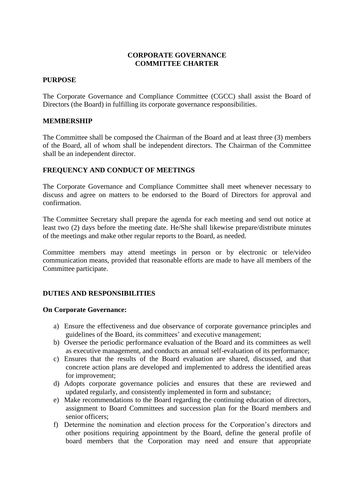## **CORPORATE GOVERNANCE COMMITTEE CHARTER**

### **PURPOSE**

The Corporate Governance and Compliance Committee (CGCC) shall assist the Board of Directors (the Board) in fulfilling its corporate governance responsibilities.

### **MEMBERSHIP**

The Committee shall be composed the Chairman of the Board and at least three (3) members of the Board, all of whom shall be independent directors. The Chairman of the Committee shall be an independent director.

## **FREQUENCY AND CONDUCT OF MEETINGS**

The Corporate Governance and Compliance Committee shall meet whenever necessary to discuss and agree on matters to be endorsed to the Board of Directors for approval and confirmation.

The Committee Secretary shall prepare the agenda for each meeting and send out notice at least two (2) days before the meeting date. He/She shall likewise prepare/distribute minutes of the meetings and make other regular reports to the Board, as needed.

Committee members may attend meetings in person or by electronic or tele/video communication means, provided that reasonable efforts are made to have all members of the Committee participate.

## **DUTIES AND RESPONSIBILITIES**

### **On Corporate Governance:**

- a) Ensure the effectiveness and due observance of corporate governance principles and guidelines of the Board, its committees' and executive management;
- b) Oversee the periodic performance evaluation of the Board and its committees as well as executive management, and conducts an annual self-evaluation of its performance;
- c) Ensures that the results of the Board evaluation are shared, discussed, and that concrete action plans are developed and implemented to address the identified areas for improvement;
- d) Adopts corporate governance policies and ensures that these are reviewed and updated regularly, and consistently implemented in form and substance;
- e) Make recommendations to the Board regarding the continuing education of directors, assignment to Board Committees and succession plan for the Board members and senior officers;
- f) Determine the nomination and election process for the Corporation's directors and other positions requiring appointment by the Board, define the general profile of board members that the Corporation may need and ensure that appropriate